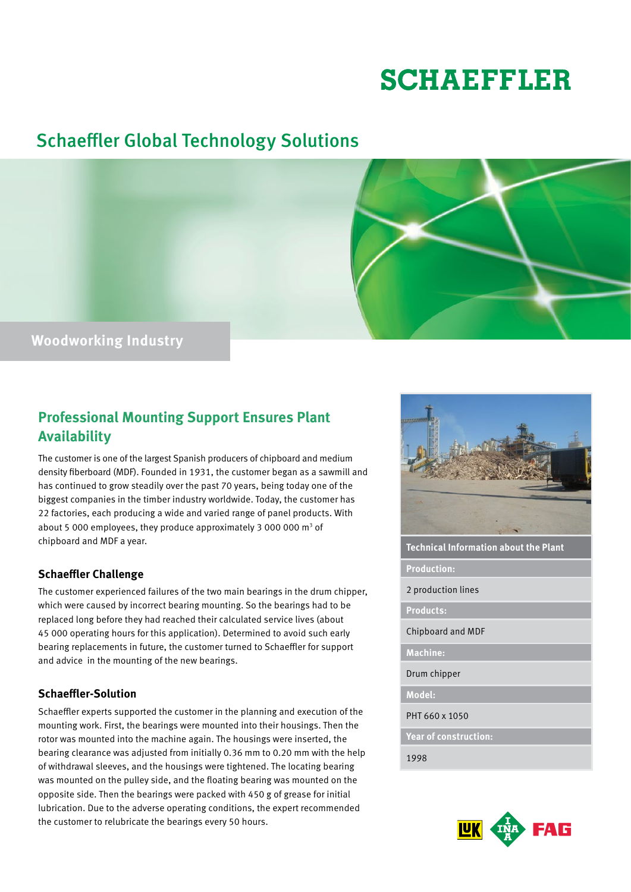# **SCHAEFFLER**

# Schaeffler Global Technology Solutions



## **Professional Mounting Support Ensures Plant Availability**

The customer is one of the largest Spanish producers of chipboard and medium density fiberboard (MDF). Founded in 1931, the customer began as a sawmill and has continued to grow steadily over the past 70 years, being today one of the biggest companies in the timber industry worldwide. Today, the customer has 22 factories, each producing a wide and varied range of panel products. With about 5 000 employees, they produce approximately 3 000 000  $\text{m}^3$  of chipboard and MDF a year.

## **Schaeffler Challenge**

The customer experienced failures of the two main bearings in the drum chipper, which were caused by incorrect bearing mounting. So the bearings had to be replaced long before they had reached their calculated service lives (about 45 000 operating hours for this application). Determined to avoid such early bearing replacements in future, the customer turned to Schaeffler for support and advice in the mounting of the new bearings.

## **Schaeffler-Solution**

Schaeffler experts supported the customer in the planning and execution of the mounting work. First, the bearings were mounted into their housings. Then the rotor was mounted into the machine again. The housings were inserted, the bearing clearance was adjusted from initially 0.36 mm to 0.20 mm with the help of withdrawal sleeves, and the housings were tightened. The locating bearing was mounted on the pulley side, and the floating bearing was mounted on the opposite side. Then the bearings were packed with 450 g of grease for initial lubrication. Due to the adverse operating conditions, the expert recommended the customer to relubricate the bearings every 50 hours.



**Technical Information about the Plant**

**Production:**

2 production lines

**Products:**

Chipboard and MDF

**Machine:**

Drum chipper

**Model:**

PHT 660 x 1050

**Year of construction:**

1998